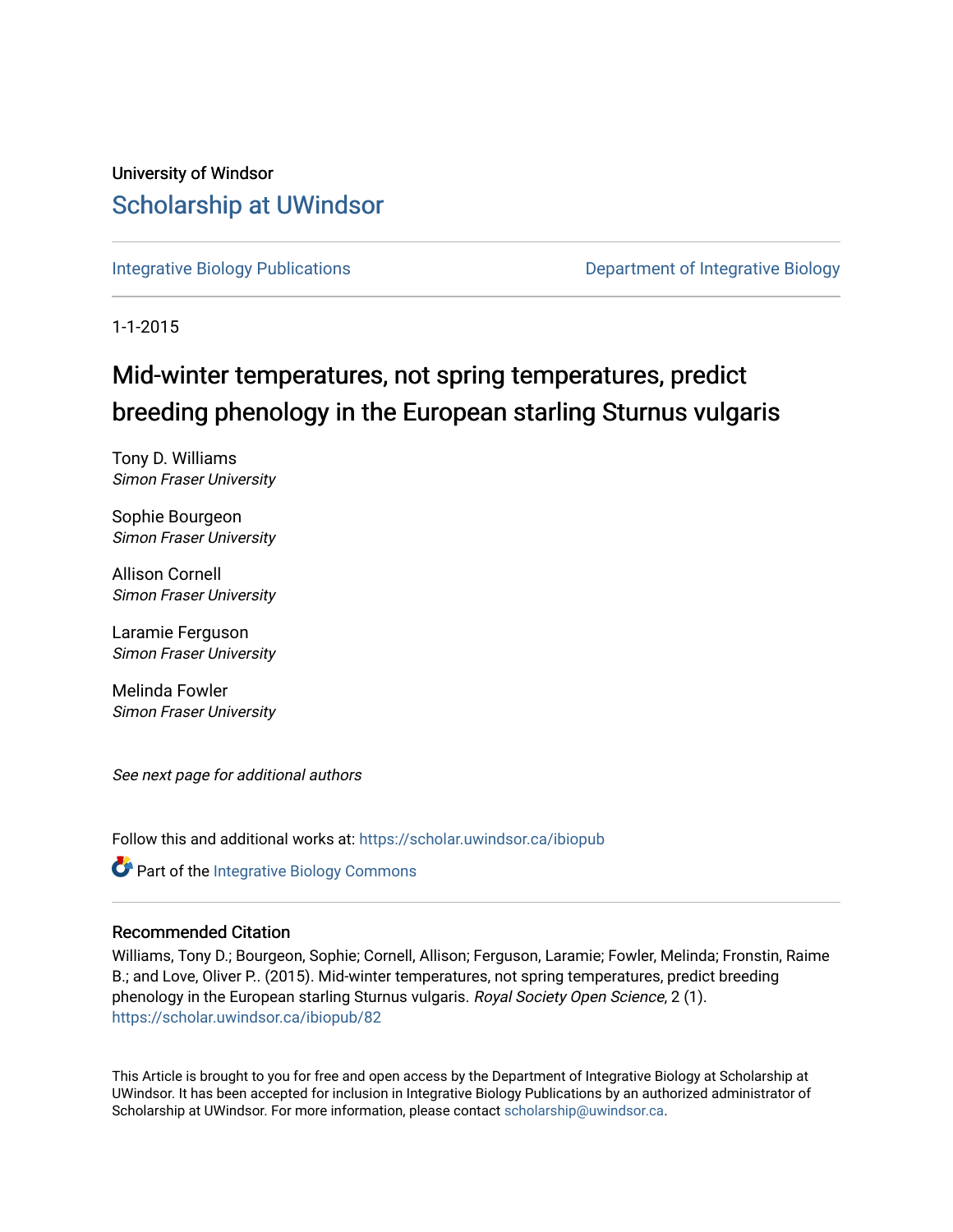## University of Windsor [Scholarship at UWindsor](https://scholar.uwindsor.ca/)

[Integrative Biology Publications](https://scholar.uwindsor.ca/ibiopub) **Department of Integrative Biology** 

1-1-2015

# Mid-winter temperatures, not spring temperatures, predict breeding phenology in the European starling Sturnus vulgaris

Tony D. Williams Simon Fraser University

Sophie Bourgeon Simon Fraser University

Allison Cornell Simon Fraser University

Laramie Ferguson Simon Fraser University

Melinda Fowler Simon Fraser University

See next page for additional authors

Follow this and additional works at: [https://scholar.uwindsor.ca/ibiopub](https://scholar.uwindsor.ca/ibiopub?utm_source=scholar.uwindsor.ca%2Fibiopub%2F82&utm_medium=PDF&utm_campaign=PDFCoverPages) 

**Part of the Integrative Biology Commons** 

### Recommended Citation

Williams, Tony D.; Bourgeon, Sophie; Cornell, Allison; Ferguson, Laramie; Fowler, Melinda; Fronstin, Raime B.; and Love, Oliver P.. (2015). Mid-winter temperatures, not spring temperatures, predict breeding phenology in the European starling Sturnus vulgaris. Royal Society Open Science, 2 (1). [https://scholar.uwindsor.ca/ibiopub/82](https://scholar.uwindsor.ca/ibiopub/82?utm_source=scholar.uwindsor.ca%2Fibiopub%2F82&utm_medium=PDF&utm_campaign=PDFCoverPages)

This Article is brought to you for free and open access by the Department of Integrative Biology at Scholarship at UWindsor. It has been accepted for inclusion in Integrative Biology Publications by an authorized administrator of Scholarship at UWindsor. For more information, please contact [scholarship@uwindsor.ca.](mailto:scholarship@uwindsor.ca)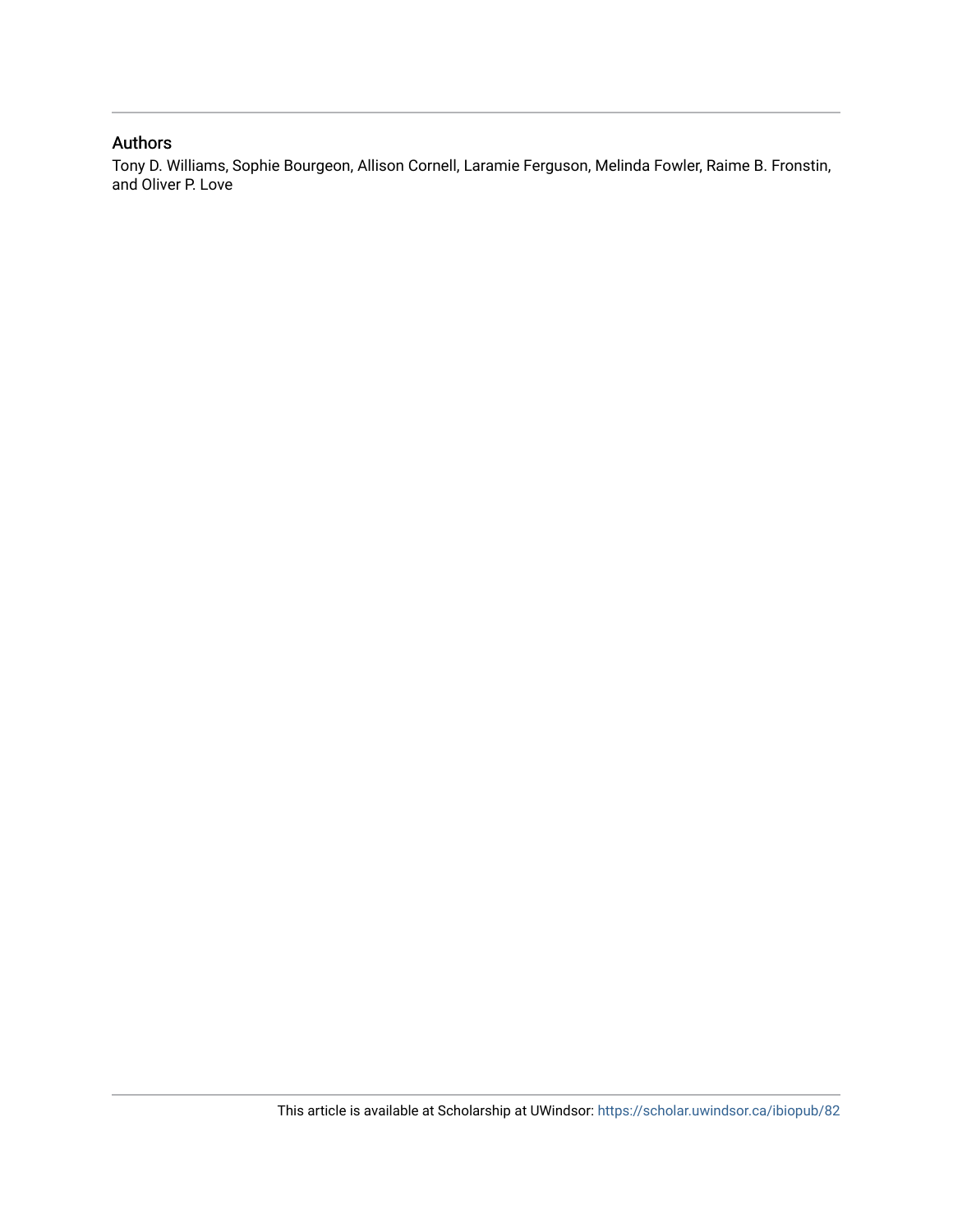### Authors

Tony D. Williams, Sophie Bourgeon, Allison Cornell, Laramie Ferguson, Melinda Fowler, Raime B. Fronstin, and Oliver P. Love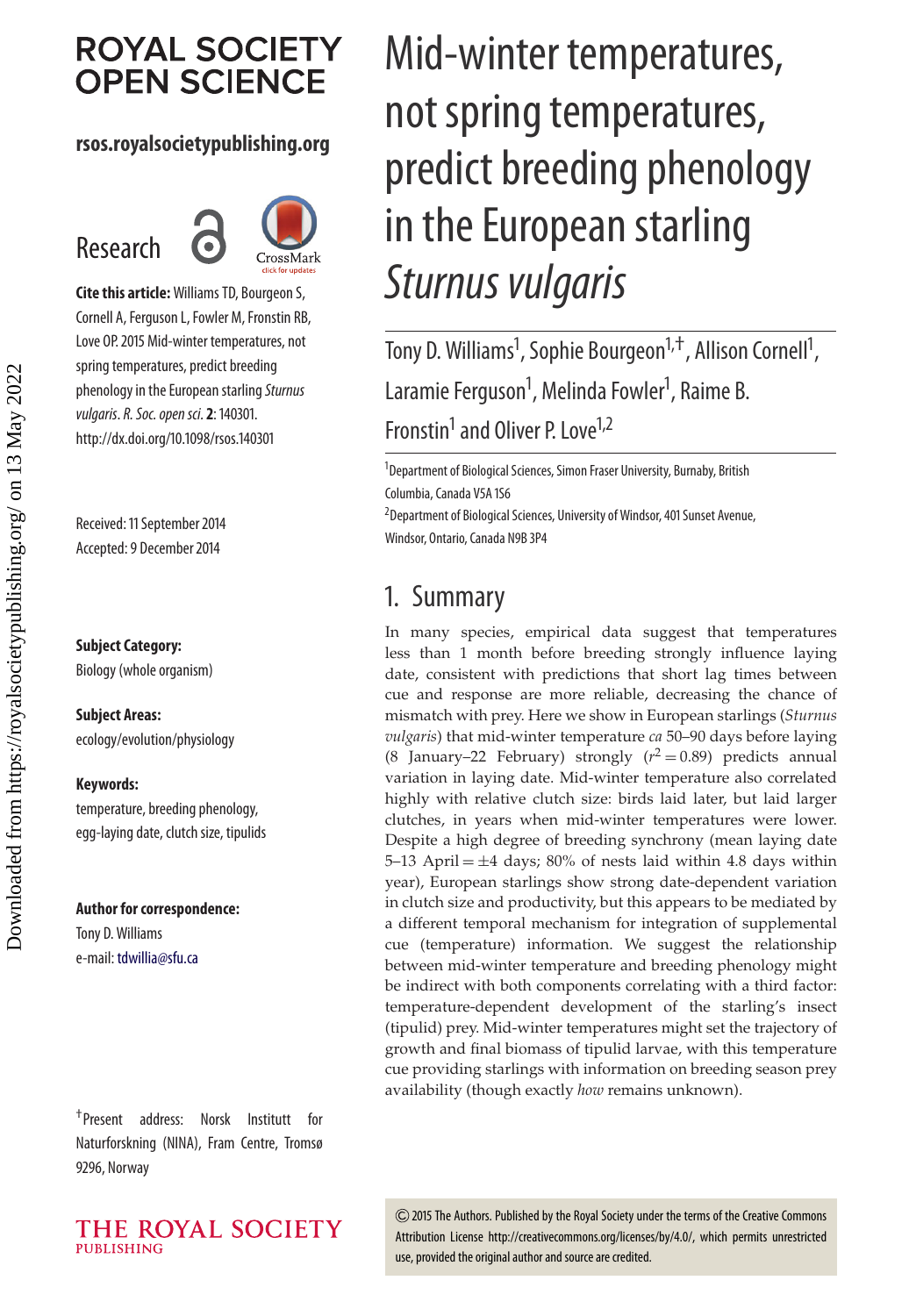# **ROYAL SOCIETY OPEN SCIENCE**

## **rsos.royalsocietypublishing.org**

## Research



**Cite this article:**Williams TD, Bourgeon S, Cornell A, Ferguson L, Fowler M, Fronstin RB, Love OP. 2015 Mid-winter temperatures, not spring temperatures, predict breeding phenology in the European starling Sturnus vulgaris.R. Soc. open sci.**2**: 140301. http://dx.doi.org/10.1098/rsos.140301

Received: 11 September 2014 Accepted: 9 December 2014

### **Subject Category:**

Biology (whole organism)

### **Subject Areas:**

ecology/evolution/physiology

### **Keywords:**

temperature, breeding phenology, egg-laying date, clutch size, tipulids

### **Author for correspondence:** Tony D. Williams

e-mail: [tdwillia@sfu.ca](mailto:tdwillia@sfu.ca)

†Present address: Norsk Institutt for Naturforskning (NINA), Fram Centre, Tromsø 9296, Norway



# Mid-winter temperatures, not spring temperatures, predict breeding phenology in the European starling Sturnus vulgaris

Tony D. Williams<sup>1</sup>, Sophie Bourgeon<sup>1,†</sup>, Allison Cornell<sup>1</sup> , Laramie Ferguson<sup>1</sup>, Melinda Fowler<sup>1</sup>, Raime B. Fronstin<sup>1</sup> and Oliver P. Love<sup>1,2</sup>

<sup>1</sup>Department of Biological Sciences, Simon Fraser University, Burnaby, British Columbia, Canada V5A 1S6

<sup>2</sup> Department of Biological Sciences, University of Windsor, 401 Sunset Avenue, Windsor, Ontario, Canada N9B 3P4

## 1. Summary

In many species, empirical data suggest that temperatures less than 1 month before breeding strongly influence laying date, consistent with predictions that short lag times between cue and response are more reliable, decreasing the chance of mismatch with prey. Here we show in European starlings (*Sturnus vulgaris*) that mid-winter temperature *ca* 50–90 days before laying (8 January–22 February) strongly  $(r^2 = 0.89)$  predicts annual variation in laying date. Mid-winter temperature also correlated highly with relative clutch size: birds laid later, but laid larger clutches, in years when mid-winter temperatures were lower. Despite a high degree of breeding synchrony (mean laying date 5–13 April  $=\pm 4$  days; 80% of nests laid within 4.8 days within year), European starlings show strong date-dependent variation in clutch size and productivity, but this appears to be mediated by a different temporal mechanism for integration of supplemental cue (temperature) information. We suggest the relationship between mid-winter temperature and breeding phenology might be indirect with both components correlating with a third factor: temperature-dependent development of the starling's insect (tipulid) prey. Mid-winter temperatures might set the trajectory of growth and final biomass of tipulid larvae, with this temperature cue providing starlings with information on breeding season prey availability (though exactly *how* remains unknown).

2015 The Authors. Published by the Royal Society under the terms of the Creative Commons Attribution License http://creativecommons.org/licenses/by/4.0/, which permits unrestricted use, provided the original author and source are credited.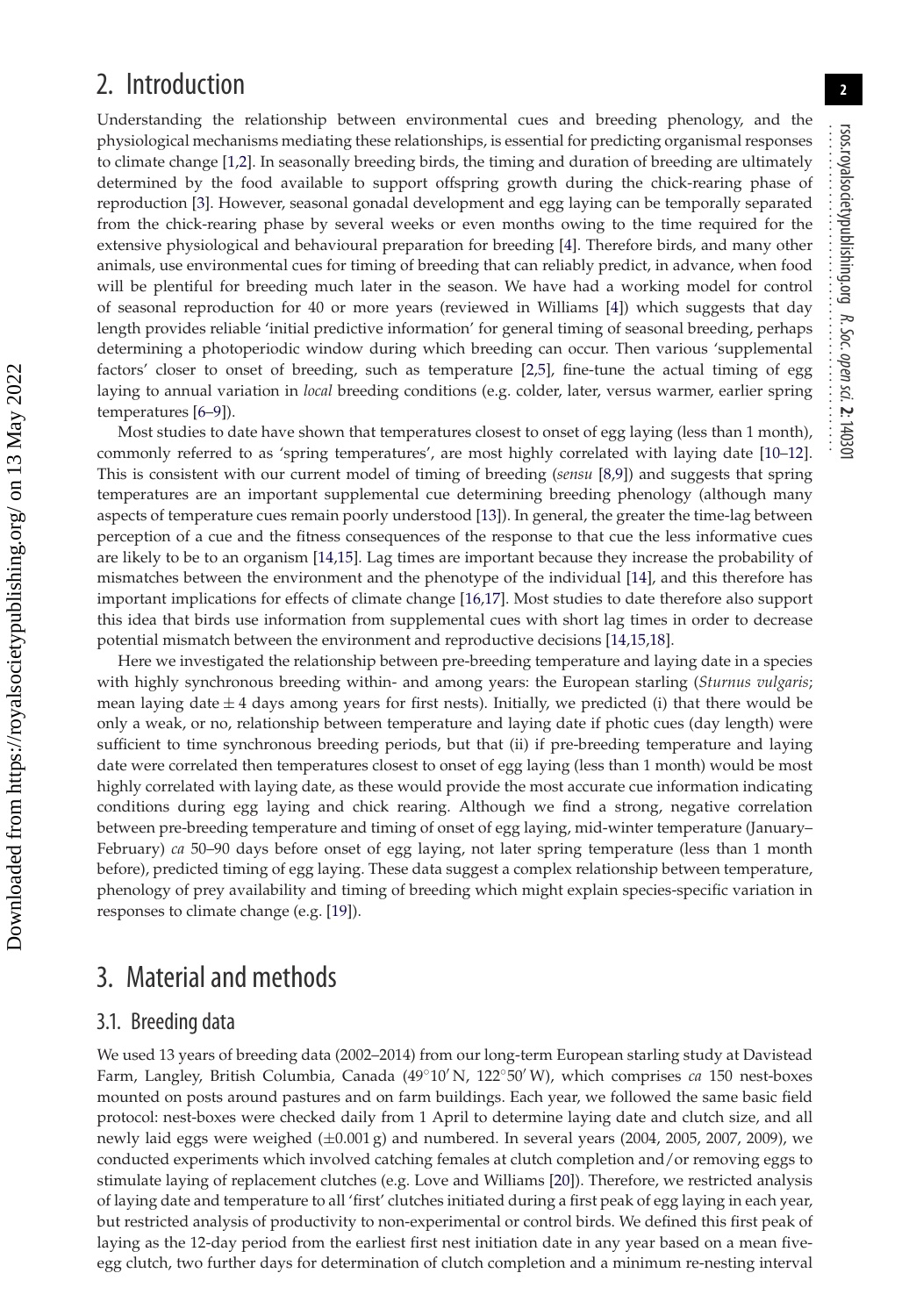**2**

## 2. Introduction

Understanding the relationship between environmental cues and breeding phenology, and the physiological mechanisms mediating these relationships, is essential for predicting organismal responses to climate change [\[1](#page-9-0)[,2\]](#page-9-1). In seasonally breeding birds, the timing and duration of breeding are ultimately determined by the food available to support offspring growth during the chick-rearing phase of reproduction [\[3\]](#page-9-2). However, seasonal gonadal development and egg laying can be temporally separated from the chick-rearing phase by several weeks or even months owing to the time required for the extensive physiological and behavioural preparation for breeding [\[4\]](#page-9-3). Therefore birds, and many other animals, use environmental cues for timing of breeding that can reliably predict, in advance, when food will be plentiful for breeding much later in the season. We have had a working model for control of seasonal reproduction for 40 or more years (reviewed in Williams [\[4\]](#page-9-3)) which suggests that day length provides reliable 'initial predictive information' for general timing of seasonal breeding, perhaps determining a photoperiodic window during which breeding can occur. Then various 'supplemental factors' closer to onset of breeding, such as temperature [\[2,](#page-9-1)[5\]](#page-9-4), fine-tune the actual timing of egg laying to annual variation in *local* breeding conditions (e.g. colder, later, versus warmer, earlier spring temperatures [\[6–](#page-9-5)[9\]](#page-9-6)).

Most studies to date have shown that temperatures closest to onset of egg laying (less than 1 month), commonly referred to as 'spring temperatures', are most highly correlated with laying date [\[10–](#page-9-7)[12\]](#page-9-8). This is consistent with our current model of timing of breeding (*sensu* [\[8](#page-9-9)[,9\]](#page-9-6)) and suggests that spring temperatures are an important supplemental cue determining breeding phenology (although many aspects of temperature cues remain poorly understood [\[13\]](#page-9-10)). In general, the greater the time-lag between perception of a cue and the fitness consequences of the response to that cue the less informative cues are likely to be to an organism [\[14,](#page-9-11)[15\]](#page-9-12). Lag times are important because they increase the probability of mismatches between the environment and the phenotype of the individual [\[14\]](#page-9-11), and this therefore has important implications for effects of climate change [\[16](#page-9-13)[,17\]](#page-9-14). Most studies to date therefore also support this idea that birds use information from supplemental cues with short lag times in order to decrease potential mismatch between the environment and reproductive decisions [\[14,](#page-9-11)[15](#page-9-12)[,18\]](#page-9-15).

Here we investigated the relationship between pre-breeding temperature and laying date in a species with highly synchronous breeding within- and among years: the European starling (*Sturnus vulgaris*; mean laying date  $\pm 4$  days among years for first nests). Initially, we predicted (i) that there would be only a weak, or no, relationship between temperature and laying date if photic cues (day length) were sufficient to time synchronous breeding periods, but that (ii) if pre-breeding temperature and laying date were correlated then temperatures closest to onset of egg laying (less than 1 month) would be most highly correlated with laying date, as these would provide the most accurate cue information indicating conditions during egg laying and chick rearing. Although we find a strong, negative correlation between pre-breeding temperature and timing of onset of egg laying, mid-winter temperature (January– February) *ca* 50–90 days before onset of egg laying, not later spring temperature (less than 1 month before), predicted timing of egg laying. These data suggest a complex relationship between temperature, phenology of prey availability and timing of breeding which might explain species-specific variation in responses to climate change (e.g. [\[19\]](#page-9-16)).

## 3. Material and methods

### 3.1. Breeding data

We used 13 years of breeding data (2002–2014) from our long-term European starling study at Davistead Farm, Langley, British Columbia, Canada (49◦10 N, 122◦50 W), which comprises *ca* 150 nest-boxes mounted on posts around pastures and on farm buildings. Each year, we followed the same basic field protocol: nest-boxes were checked daily from 1 April to determine laying date and clutch size, and all newly laid eggs were weighed  $(\pm 0.001 \text{ g})$  and numbered. In several years (2004, 2005, 2007, 2009), we conducted experiments which involved catching females at clutch completion and/or removing eggs to stimulate laying of replacement clutches (e.g. Love and Williams [\[20\]](#page-9-17)). Therefore, we restricted analysis of laying date and temperature to all 'first' clutches initiated during a first peak of egg laying in each year, but restricted analysis of productivity to non-experimental or control birds. We defined this first peak of laying as the 12-day period from the earliest first nest initiation date in any year based on a mean fiveegg clutch, two further days for determination of clutch completion and a minimum re-nesting interval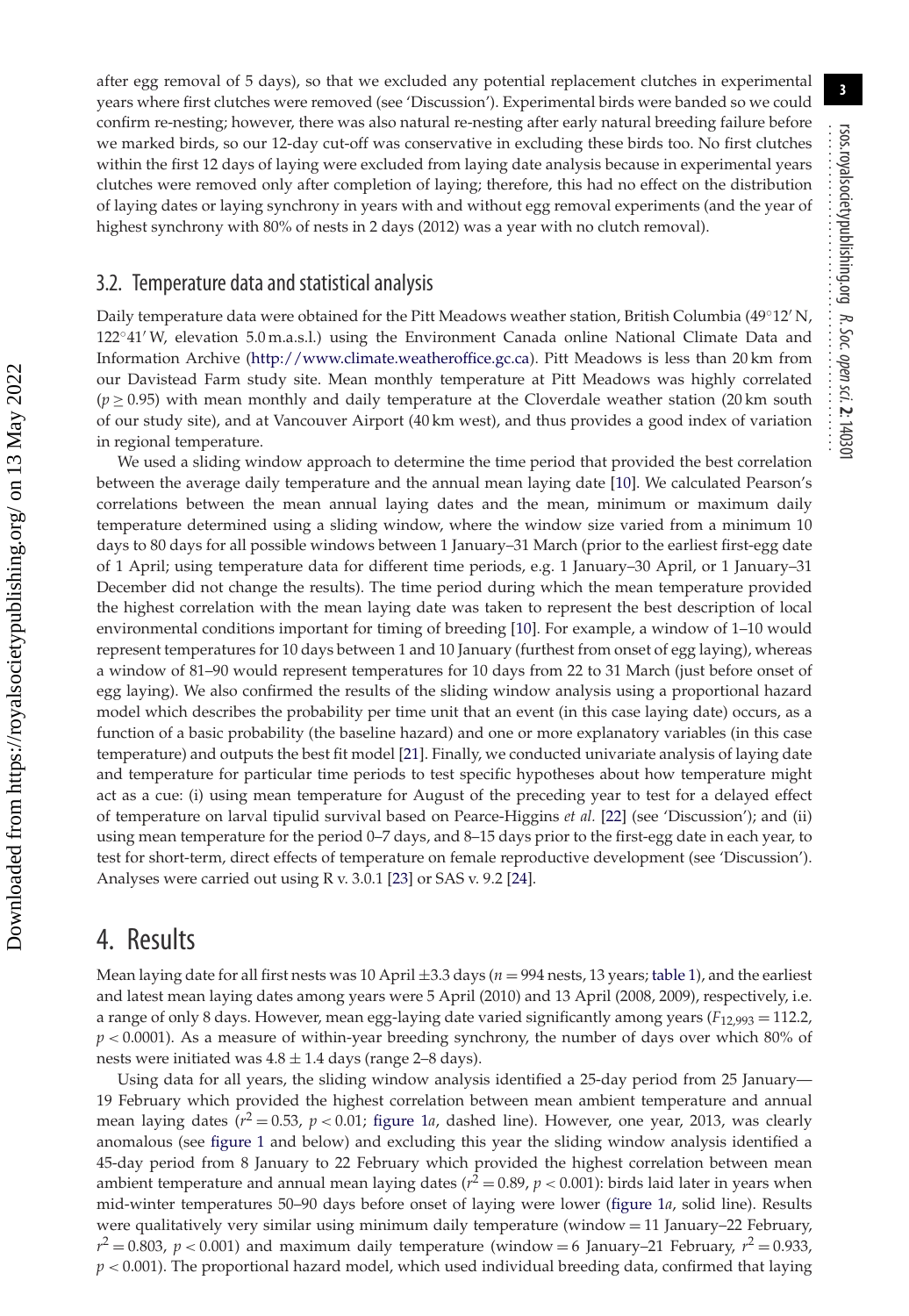after egg removal of 5 days), so that we excluded any potential replacement clutches in experimental years where first clutches were removed (see 'Discussion'). Experimental birds were banded so we could confirm re-nesting; however, there was also natural re-nesting after early natural breeding failure before we marked birds, so our 12-day cut-off was conservative in excluding these birds too. No first clutches within the first 12 days of laying were excluded from laying date analysis because in experimental years clutches were removed only after completion of laying; therefore, this had no effect on the distribution of laying dates or laying synchrony in years with and without egg removal experiments (and the year of highest synchrony with 80% of nests in 2 days (2012) was a year with no clutch removal).

### 3.2. Temperature data and statistical analysis

Daily temperature data were obtained for the Pitt Meadows weather station, British Columbia (49◦12 N, 122◦41 W, elevation 5.0 m.a.s.l.) using the Environment Canada online National Climate Data and Information Archive [\(http://www.climate.weatheroffice.gc.ca\)](http://www.climate.weatheroffice.gc.ca). Pitt Meadows is less than 20 km from our Davistead Farm study site. Mean monthly temperature at Pitt Meadows was highly correlated  $(p \ge 0.95)$  with mean monthly and daily temperature at the Cloverdale weather station (20 km south of our study site), and at Vancouver Airport (40 km west), and thus provides a good index of variation in regional temperature.

We used a sliding window approach to determine the time period that provided the best correlation between the average daily temperature and the annual mean laying date [\[10\]](#page-9-7). We calculated Pearson's correlations between the mean annual laying dates and the mean, minimum or maximum daily temperature determined using a sliding window, where the window size varied from a minimum 10 days to 80 days for all possible windows between 1 January–31 March (prior to the earliest first-egg date of 1 April; using temperature data for different time periods, e.g. 1 January–30 April, or 1 January–31 December did not change the results). The time period during which the mean temperature provided the highest correlation with the mean laying date was taken to represent the best description of local environmental conditions important for timing of breeding [\[10\]](#page-9-7). For example, a window of 1–10 would represent temperatures for 10 days between 1 and 10 January (furthest from onset of egg laying), whereas a window of 81–90 would represent temperatures for 10 days from 22 to 31 March (just before onset of egg laying). We also confirmed the results of the sliding window analysis using a proportional hazard model which describes the probability per time unit that an event (in this case laying date) occurs, as a function of a basic probability (the baseline hazard) and one or more explanatory variables (in this case temperature) and outputs the best fit model [\[21\]](#page-9-18). Finally, we conducted univariate analysis of laying date and temperature for particular time periods to test specific hypotheses about how temperature might act as a cue: (i) using mean temperature for August of the preceding year to test for a delayed effect of temperature on larval tipulid survival based on Pearce-Higgins *et al.* [\[22\]](#page-9-19) (see 'Discussion'); and (ii) using mean temperature for the period 0–7 days, and 8–15 days prior to the first-egg date in each year, to test for short-term, direct effects of temperature on female reproductive development (see 'Discussion'). Analyses were carried out using R v. 3.0.1 [\[23\]](#page-9-20) or SAS v. 9.2 [\[24\]](#page-9-21).

## 4. Results

Mean laying date for all first nests was 10 April  $\pm$ 3.3 days ( $n = 994$  nests, 13 years; [table 1\)](#page-5-0), and the earliest and latest mean laying dates among years were 5 April (2010) and 13 April (2008, 2009), respectively, i.e. a range of only 8 days. However, mean egg-laying date varied significantly among years ( $F_{12,993} = 112.2$ , *p <* 0.0001). As a measure of within-year breeding synchrony, the number of days over which 80% of nests were initiated was  $4.8 \pm 1.4$  days (range 2–8 days).

Using data for all years, the sliding window analysis identified a 25-day period from 25 January— 19 February which provided the highest correlation between mean ambient temperature and annual mean laying dates ( $r^2 = 0.53$ ,  $p < 0.01$ ; [figure 1](#page-5-1)*a*, dashed line). However, one year, 2013, was clearly anomalous (see [figure 1](#page-5-1) and below) and excluding this year the sliding window analysis identified a 45-day period from 8 January to 22 February which provided the highest correlation between mean ambient temperature and annual mean laying dates  $(r^2 = 0.89, p < 0.001)$ : birds laid later in years when mid-winter temperatures 50–90 days before onset of laying were lower [\(figure 1](#page-5-1)*a*, solid line). Results were qualitatively very similar using minimum daily temperature (window = 11 January–22 February,  $r^2 = 0.803$ ,  $p < 0.001$ ) and maximum daily temperature (window = 6 January–21 February,  $r^2 = 0.933$ ,  $p < 0.001$ ). The proportional hazard model, which used individual breeding data, confirmed that laying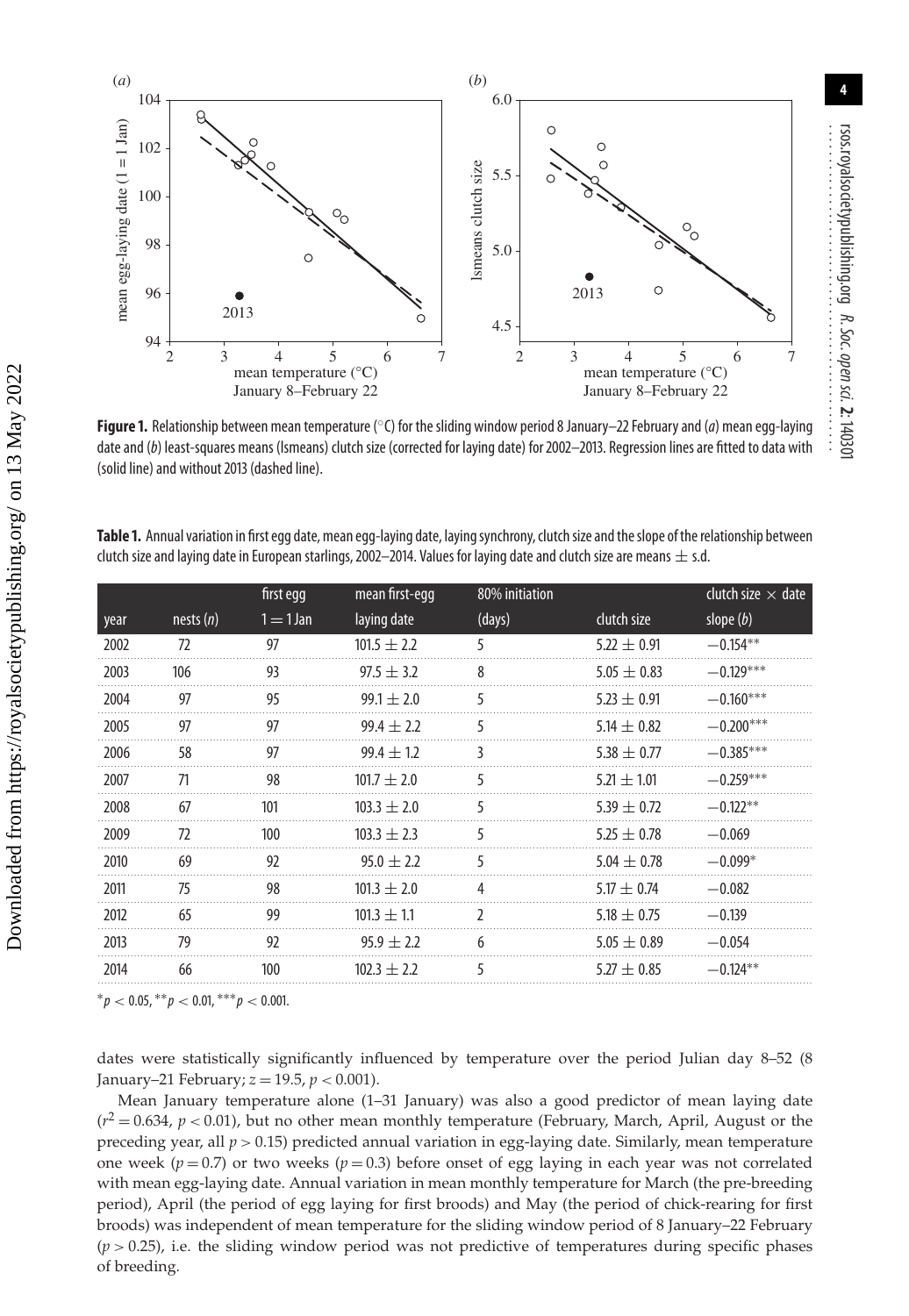

<span id="page-5-1"></span>**Figure 1.** Relationship between mean temperature (°C) for the sliding window period 8 January–22 February and (*a*) mean egg-laying date and (b) least-squares means (Ismeans) clutch size (corrected for laying date) for 2002-2013. Regression lines are fitted to data with (solid line) and without 2013 (dashed line).

<span id="page-5-0"></span>Table 1. Annual variation in first egg date, mean egg-laying date, laying synchrony, clutch size and the slope of the relationship between clutch size and laying date in European starlings, 2002–2014. Values for laying date and clutch size are means  $\pm$  s.d.

|      |             | first egg   | mean first-egg  | 80% initiation |                 | clutch size $\times$ date |
|------|-------------|-------------|-----------------|----------------|-----------------|---------------------------|
| year | nests $(n)$ | $1 = 1$ Jan | laying date     | (days)         | clutch size     | slope $(b)$               |
| 2002 | 72          | 97          | $101.5 \pm 2.2$ | 5              | $5.22 \pm 0.91$ | $-0.154**$                |
| 2003 | 106         | 93          | $97.5 + 3.2$    | 8              | $5.05 \pm 0.83$ | $-0.129***$               |
| 2004 | 97          | 95          | $99.1 \pm 2.0$  | 5              | $5.23 \pm 0.91$ | $-0.160***$               |
| 2005 | 97          | 97          | $99.4 + 2.2$    | 5              | 5.14 $\pm$ 0.82 | $-0.200***$               |
| 2006 | 58          | 97          | $99.4 + 1.2$    | 3              | $5.38 \pm 0.77$ | $-0.385***$               |
| 2007 | 71          | 98          | $101.7 + 2.0$   | 5              | $5.21 \pm 1.01$ | $-0.259***$               |
| 2008 | 67          | 101         | $103.3 \pm 2.0$ | 5              | $5.39 \pm 0.72$ | $-0.122**$                |
| 2009 | 72          | 100         | $103.3 + 2.3$   | 5              | $5.25 \pm 0.78$ | $-0.069$                  |
| 2010 | 69          | 92          | $95.0 + 2.2$    | 5              | $5.04 + 0.78$   | $-0.099*$                 |
| 2011 | 75          | 98          | $101.3 + 2.0$   | 4              | $5.17 + 0.74$   | $-0.082$                  |
| 2012 | 65          | 99          | $101.3 \pm 1.1$ | $\mathfrak z$  | $5.18 \pm 0.75$ | $-0.139$                  |
| 2013 | 79          | 92          | $95.9 + 2.2$    | 6              | $5.05 + 0.89$   | $-0.054$                  |
| 2014 | 66          | 100         | $102.3 \pm 2.2$ | 5              | $5.27 \pm 0.85$ | $-0.124**$                |
|      |             |             |                 |                |                 |                           |

 ${}^{*}p$  < 0.05,  ${}^{**}p$  < 0.01,  ${}^{***}p$  < 0.001.

dates were statistically significantly influenced by temperature over the period Julian day 8–52 (8 January–21 February; *z* = 19.5, *p <* 0.001).

Mean January temperature alone (1–31 January) was also a good predictor of mean laying date  $(r^2 = 0.634, p < 0.01)$ , but no other mean monthly temperature (February, March, April, August or the preceding year, all *p >* 0.15) predicted annual variation in egg-laying date. Similarly, mean temperature one week ( $p = 0.7$ ) or two weeks ( $p = 0.3$ ) before onset of egg laying in each year was not correlated with mean egg-laying date. Annual variation in mean monthly temperature for March (the pre-breeding period), April (the period of egg laying for first broods) and May (the period of chick-rearing for first broods) was independent of mean temperature for the sliding window period of 8 January–22 February  $(p > 0.25)$ , i.e. the sliding window period was not predictive of temperatures during specific phases of breeding.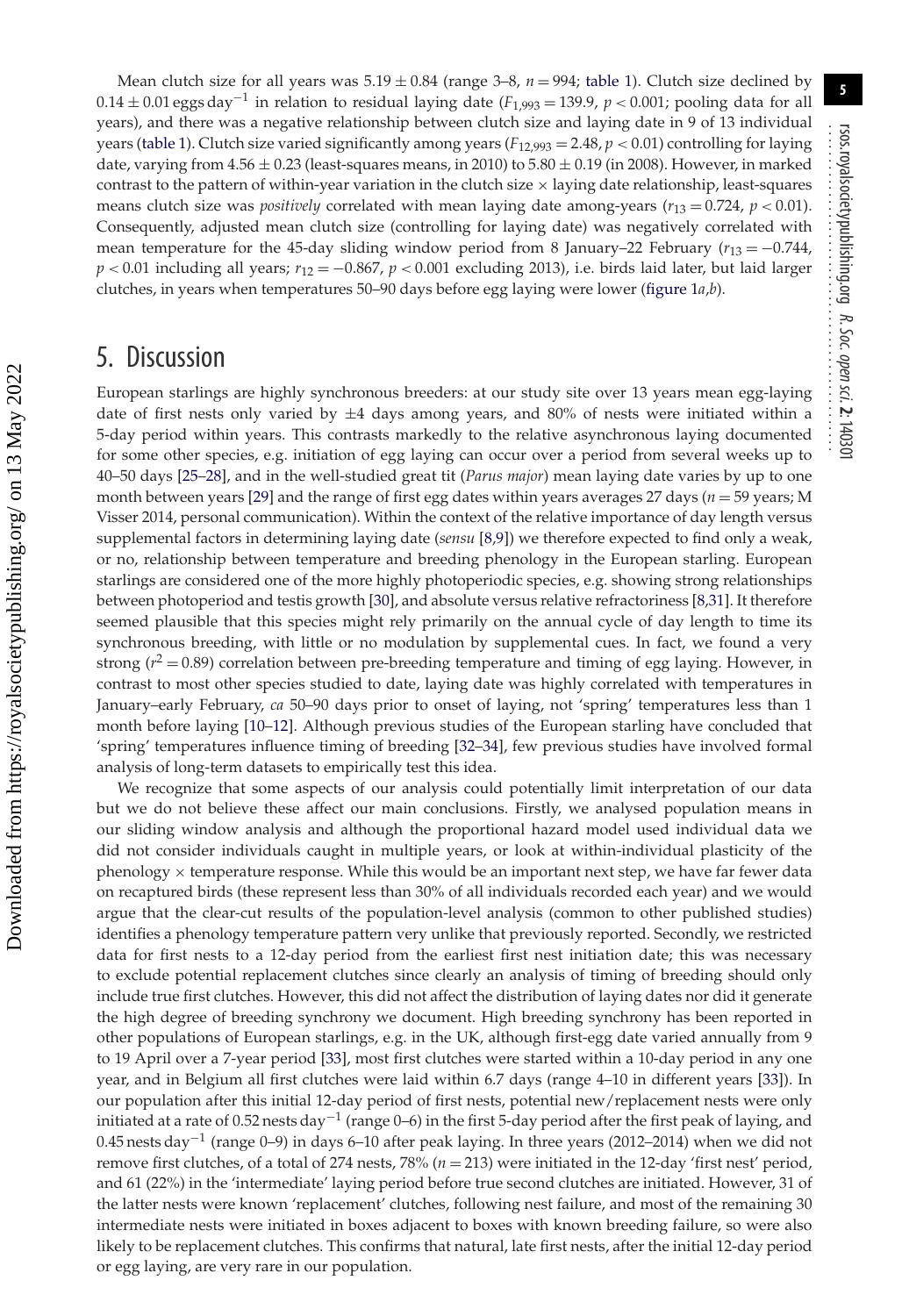Mean clutch size for all years was  $5.19 \pm 0.84$  (range  $3-8$ ,  $n = 994$ ; [table 1\)](#page-5-0). Clutch size declined by 0.14 <sup>±</sup> 0.01 eggs day−<sup>1</sup> in relation to residual laying date (*F*1,993 <sup>=</sup> 139.9, *<sup>p</sup> <sup>&</sup>lt;* 0.001; pooling data for all years), and there was a negative relationship between clutch size and laying date in 9 of 13 individual years [\(table 1\)](#page-5-0). Clutch size varied significantly among years  $(F_{12,993} = 2.48, p < 0.01)$  controlling for laying date, varying from  $4.56 \pm 0.23$  (least-squares means, in 2010) to  $5.80 \pm 0.19$  (in 2008). However, in marked contrast to the pattern of within-year variation in the clutch size  $\times$  laying date relationship, least-squares means clutch size was *positively* correlated with mean laying date among-years (*r*<sup>13</sup> = 0.724, *p <* 0.01). Consequently, adjusted mean clutch size (controlling for laying date) was negatively correlated with mean temperature for the 45-day sliding window period from 8 January–22 February ( $r_{13} = -0.744$ , *p* < 0.01 including all years; *r*<sub>12</sub> = −0.867, *p* < 0.001 excluding 2013), i.e. birds laid later, but laid larger clutches, in years when temperatures 50–90 days before egg laying were lower [\(figure 1](#page-5-1)*a*,*b*).

## 5. Discussion

European starlings are highly synchronous breeders: at our study site over 13 years mean egg-laying date of first nests only varied by  $\pm 4$  days among years, and 80% of nests were initiated within a 5-day period within years. This contrasts markedly to the relative asynchronous laying documented for some other species, e.g. initiation of egg laying can occur over a period from several weeks up to 40–50 days [\[25](#page-9-22)[–28\]](#page-10-0), and in the well-studied great tit (*Parus major*) mean laying date varies by up to one month between years [\[29\]](#page-10-1) and the range of first egg dates within years averages 27 days (*n* = 59 years; M Visser 2014, personal communication). Within the context of the relative importance of day length versus supplemental factors in determining laying date (*sensu* [\[8,](#page-9-9)[9\]](#page-9-6)) we therefore expected to find only a weak, or no, relationship between temperature and breeding phenology in the European starling. European starlings are considered one of the more highly photoperiodic species, e.g. showing strong relationships between photoperiod and testis growth [\[30\]](#page-10-2), and absolute versus relative refractoriness [\[8](#page-9-9)[,31\]](#page-10-3). It therefore seemed plausible that this species might rely primarily on the annual cycle of day length to time its synchronous breeding, with little or no modulation by supplemental cues. In fact, we found a very strong  $(r^2 = 0.89)$  correlation between pre-breeding temperature and timing of egg laying. However, in contrast to most other species studied to date, laying date was highly correlated with temperatures in January–early February, *ca* 50–90 days prior to onset of laying, not 'spring' temperatures less than 1 month before laying [\[10–](#page-9-7)[12\]](#page-9-8). Although previous studies of the European starling have concluded that 'spring' temperatures influence timing of breeding [\[32](#page-10-4)[–34\]](#page-10-5), few previous studies have involved formal analysis of long-term datasets to empirically test this idea.

We recognize that some aspects of our analysis could potentially limit interpretation of our data but we do not believe these affect our main conclusions. Firstly, we analysed population means in our sliding window analysis and although the proportional hazard model used individual data we did not consider individuals caught in multiple years, or look at within-individual plasticity of the phenology × temperature response. While this would be an important next step, we have far fewer data on recaptured birds (these represent less than 30% of all individuals recorded each year) and we would argue that the clear-cut results of the population-level analysis (common to other published studies) identifies a phenology temperature pattern very unlike that previously reported. Secondly, we restricted data for first nests to a 12-day period from the earliest first nest initiation date; this was necessary to exclude potential replacement clutches since clearly an analysis of timing of breeding should only include true first clutches. However, this did not affect the distribution of laying dates nor did it generate the high degree of breeding synchrony we document. High breeding synchrony has been reported in other populations of European starlings, e.g. in the UK, although first-egg date varied annually from 9 to 19 April over a 7-year period [\[33\]](#page-10-6), most first clutches were started within a 10-day period in any one year, and in Belgium all first clutches were laid within 6.7 days (range 4–10 in different years [\[33\]](#page-10-6)). In our population after this initial 12-day period of first nests, potential new/replacement nests were only initiated at a rate of 0.52 nests day<sup>-1</sup> (range 0–6) in the first 5-day period after the first peak of laying, and 0.45 nests day−<sup>1</sup> (range 0–9) in days 6–10 after peak laying. In three years (2012–2014) when we did not remove first clutches, of a total of 274 nests, 78% (*n* = 213) were initiated in the 12-day 'first nest' period, and 61 (22%) in the 'intermediate' laying period before true second clutches are initiated. However, 31 of the latter nests were known 'replacement' clutches, following nest failure, and most of the remaining 30 intermediate nests were initiated in boxes adjacent to boxes with known breeding failure, so were also likely to be replacement clutches. This confirms that natural, late first nests, after the initial 12-day period or egg laying, are very rare in our population.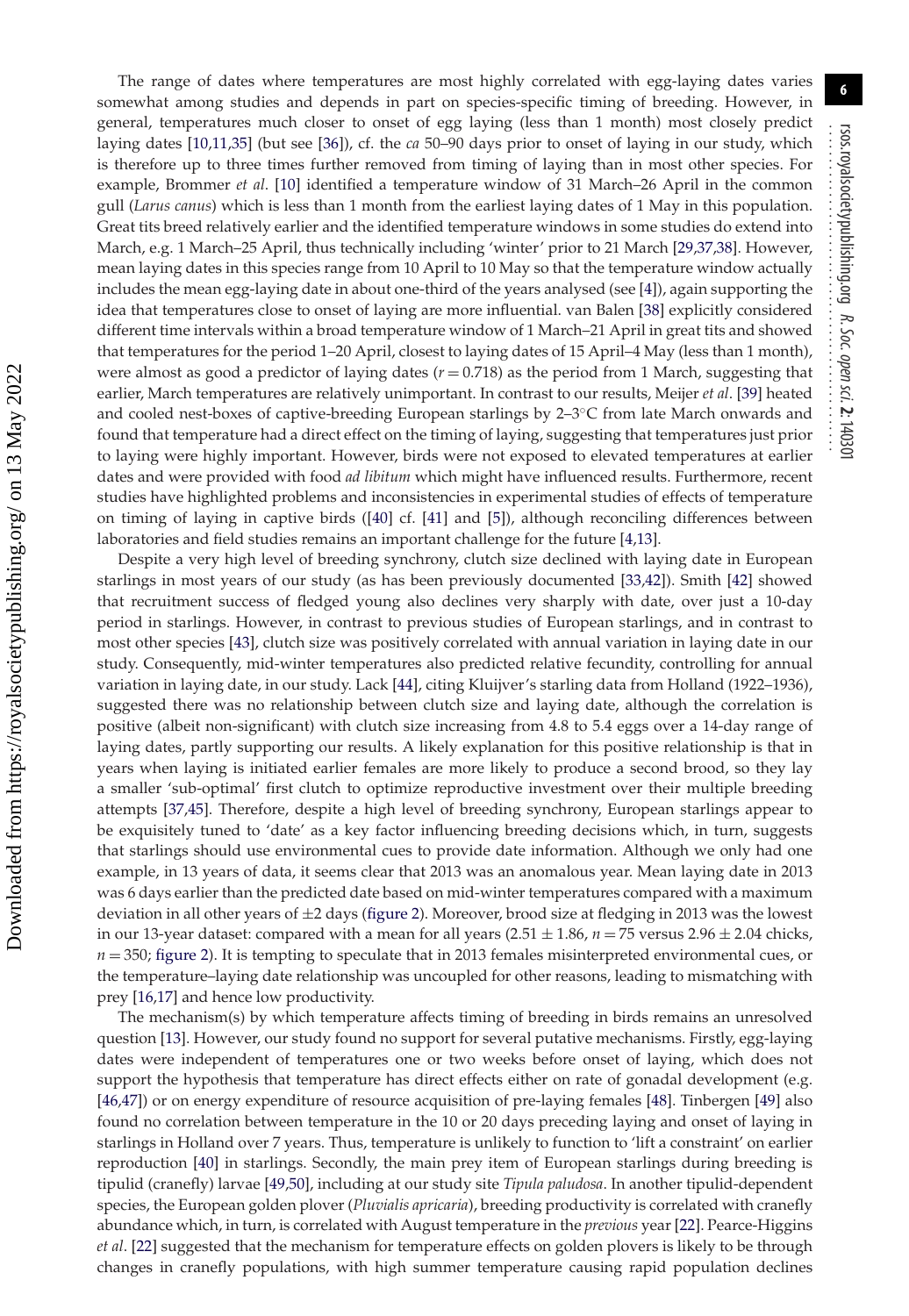The range of dates where temperatures are most highly correlated with egg-laying dates varies somewhat among studies and depends in part on species-specific timing of breeding. However, in general, temperatures much closer to onset of egg laying (less than 1 month) most closely predict laying dates [\[10,](#page-9-7)[11](#page-9-23)[,35\]](#page-10-7) (but see [\[36\]](#page-10-8)), cf. the *ca* 50–90 days prior to onset of laying in our study, which is therefore up to three times further removed from timing of laying than in most other species. For example, Brommer *et al*. [\[10\]](#page-9-7) identified a temperature window of 31 March–26 April in the common gull (*Larus canus*) which is less than 1 month from the earliest laying dates of 1 May in this population. Great tits breed relatively earlier and the identified temperature windows in some studies do extend into March, e.g. 1 March–25 April, thus technically including 'winter' prior to 21 March [\[29,](#page-10-1)[37,](#page-10-9)[38\]](#page-10-10). However, mean laying dates in this species range from 10 April to 10 May so that the temperature window actually includes the mean egg-laying date in about one-third of the years analysed (see [\[4\]](#page-9-3)), again supporting the idea that temperatures close to onset of laying are more influential. van Balen [\[38\]](#page-10-10) explicitly considered different time intervals within a broad temperature window of 1 March–21 April in great tits and showed that temperatures for the period 1–20 April, closest to laying dates of 15 April–4 May (less than 1 month), were almost as good a predictor of laying dates (*r* = 0.718) as the period from 1 March, suggesting that earlier, March temperatures are relatively unimportant. In contrast to our results, Meijer *et al*. [\[39\]](#page-10-11) heated and cooled nest-boxes of captive-breeding European starlings by 2–3◦C from late March onwards and found that temperature had a direct effect on the timing of laying, suggesting that temperatures just prior to laying were highly important. However, birds were not exposed to elevated temperatures at earlier dates and were provided with food *ad libitum* which might have influenced results. Furthermore, recent studies have highlighted problems and inconsistencies in experimental studies of effects of temperature on timing of laying in captive birds ([\[40\]](#page-10-12) cf. [\[41\]](#page-10-13) and [\[5\]](#page-9-4)), although reconciling differences between laboratories and field studies remains an important challenge for the future [\[4,](#page-9-3)[13\]](#page-9-10). Despite a very high level of breeding synchrony, clutch size declined with laying date in European

starlings in most years of our study (as has been previously documented [\[33](#page-10-6)[,42\]](#page-10-14)). Smith [\[42\]](#page-10-14) showed that recruitment success of fledged young also declines very sharply with date, over just a 10-day period in starlings. However, in contrast to previous studies of European starlings, and in contrast to most other species [\[43\]](#page-10-15), clutch size was positively correlated with annual variation in laying date in our study. Consequently, mid-winter temperatures also predicted relative fecundity, controlling for annual variation in laying date, in our study. Lack [\[44\]](#page-10-16), citing Kluijver's starling data from Holland (1922–1936), suggested there was no relationship between clutch size and laying date, although the correlation is positive (albeit non-significant) with clutch size increasing from 4.8 to 5.4 eggs over a 14-day range of laying dates, partly supporting our results. A likely explanation for this positive relationship is that in years when laying is initiated earlier females are more likely to produce a second brood, so they lay a smaller 'sub-optimal' first clutch to optimize reproductive investment over their multiple breeding attempts [\[37,](#page-10-9)[45\]](#page-10-17). Therefore, despite a high level of breeding synchrony, European starlings appear to be exquisitely tuned to 'date' as a key factor influencing breeding decisions which, in turn, suggests that starlings should use environmental cues to provide date information. Although we only had one example, in 13 years of data, it seems clear that 2013 was an anomalous year. Mean laying date in 2013 was 6 days earlier than the predicted date based on mid-winter temperatures compared with a maximum deviation in all other years of  $\pm 2$  days [\(figure 2\)](#page-8-0). Moreover, brood size at fledging in 2013 was the lowest in our 13-year dataset: compared with a mean for all years  $(2.51 \pm 1.86, n = 75$  versus  $2.96 \pm 2.04$  chicks,  $n = 350$ ; [figure 2\)](#page-8-0). It is tempting to speculate that in 2013 females misinterpreted environmental cues, or the temperature–laying date relationship was uncoupled for other reasons, leading to mismatching with prey [\[16](#page-9-13)[,17\]](#page-9-14) and hence low productivity.

The mechanism(s) by which temperature affects timing of breeding in birds remains an unresolved question [\[13\]](#page-9-10). However, our study found no support for several putative mechanisms. Firstly, egg-laying dates were independent of temperatures one or two weeks before onset of laying, which does not support the hypothesis that temperature has direct effects either on rate of gonadal development (e.g. [\[46,](#page-10-18)[47\]](#page-10-19)) or on energy expenditure of resource acquisition of pre-laying females [\[48\]](#page-10-20). Tinbergen [\[49\]](#page-10-21) also found no correlation between temperature in the 10 or 20 days preceding laying and onset of laying in starlings in Holland over 7 years. Thus, temperature is unlikely to function to 'lift a constraint' on earlier reproduction [\[40\]](#page-10-12) in starlings. Secondly, the main prey item of European starlings during breeding is tipulid (cranefly) larvae [\[49,](#page-10-21)[50\]](#page-10-22), including at our study site *Tipula paludosa*. In another tipulid-dependent species, the European golden plover (*Pluvialis apricaria*), breeding productivity is correlated with cranefly abundance which, in turn, is correlated with August temperature in the *previous* year [\[22\]](#page-9-19). Pearce-Higgins *et al*. [\[22\]](#page-9-19) suggested that the mechanism for temperature effects on golden plovers is likely to be through changes in cranefly populations, with high summer temperature causing rapid population declines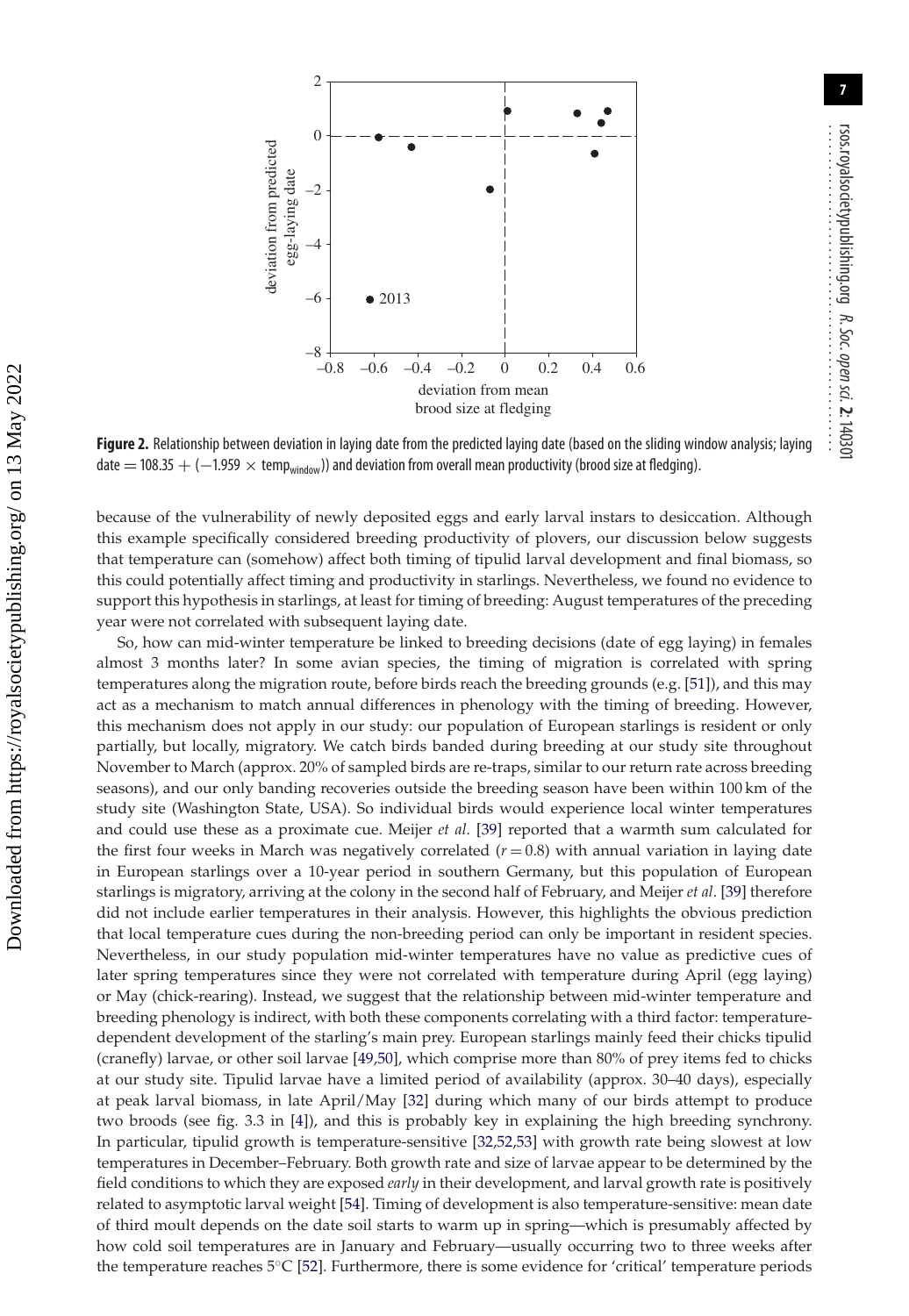

<span id="page-8-0"></span>**Figure 2.** Relationship between deviation in laying date from the predicted laying date (based on the sliding window analysis; laying date = 108.35 + (-1.959  $\times$  temp<sub>window</sub>)) and deviation from overall mean productivity (brood size at fledging).

because of the vulnerability of newly deposited eggs and early larval instars to desiccation. Although this example specifically considered breeding productivity of plovers, our discussion below suggests that temperature can (somehow) affect both timing of tipulid larval development and final biomass, so this could potentially affect timing and productivity in starlings. Nevertheless, we found no evidence to support this hypothesis in starlings, at least for timing of breeding: August temperatures of the preceding year were not correlated with subsequent laying date.

So, how can mid-winter temperature be linked to breeding decisions (date of egg laying) in females almost 3 months later? In some avian species, the timing of migration is correlated with spring temperatures along the migration route, before birds reach the breeding grounds (e.g. [\[51\]](#page-10-23)), and this may act as a mechanism to match annual differences in phenology with the timing of breeding. However, this mechanism does not apply in our study: our population of European starlings is resident or only partially, but locally, migratory. We catch birds banded during breeding at our study site throughout November to March (approx. 20% of sampled birds are re-traps, similar to our return rate across breeding seasons), and our only banding recoveries outside the breeding season have been within 100 km of the study site (Washington State, USA). So individual birds would experience local winter temperatures and could use these as a proximate cue. Meijer *et al.* [\[39\]](#page-10-11) reported that a warmth sum calculated for the first four weeks in March was negatively correlated  $(r = 0.8)$  with annual variation in laying date in European starlings over a 10-year period in southern Germany, but this population of European starlings is migratory, arriving at the colony in the second half of February, and Meijer *et al*. [\[39\]](#page-10-11) therefore did not include earlier temperatures in their analysis. However, this highlights the obvious prediction that local temperature cues during the non-breeding period can only be important in resident species. Nevertheless, in our study population mid-winter temperatures have no value as predictive cues of later spring temperatures since they were not correlated with temperature during April (egg laying) or May (chick-rearing). Instead, we suggest that the relationship between mid-winter temperature and breeding phenology is indirect, with both these components correlating with a third factor: temperaturedependent development of the starling's main prey. European starlings mainly feed their chicks tipulid (cranefly) larvae, or other soil larvae [\[49,](#page-10-21)[50\]](#page-10-22), which comprise more than 80% of prey items fed to chicks at our study site. Tipulid larvae have a limited period of availability (approx. 30–40 days), especially at peak larval biomass, in late April/May [\[32\]](#page-10-4) during which many of our birds attempt to produce two broods (see fig. 3.3 in [\[4\]](#page-9-3)), and this is probably key in explaining the high breeding synchrony. In particular, tipulid growth is temperature-sensitive [\[32,](#page-10-4)[52](#page-10-24)[,53\]](#page-10-25) with growth rate being slowest at low temperatures in December–February. Both growth rate and size of larvae appear to be determined by the field conditions to which they are exposed *early* in their development, and larval growth rate is positively related to asymptotic larval weight [\[54\]](#page-10-26). Timing of development is also temperature-sensitive: mean date of third moult depends on the date soil starts to warm up in spring—which is presumably affected by how cold soil temperatures are in January and February—usually occurring two to three weeks after the temperature reaches  $5^{\circ}C$  [\[52\]](#page-10-24). Furthermore, there is some evidence for 'critical' temperature periods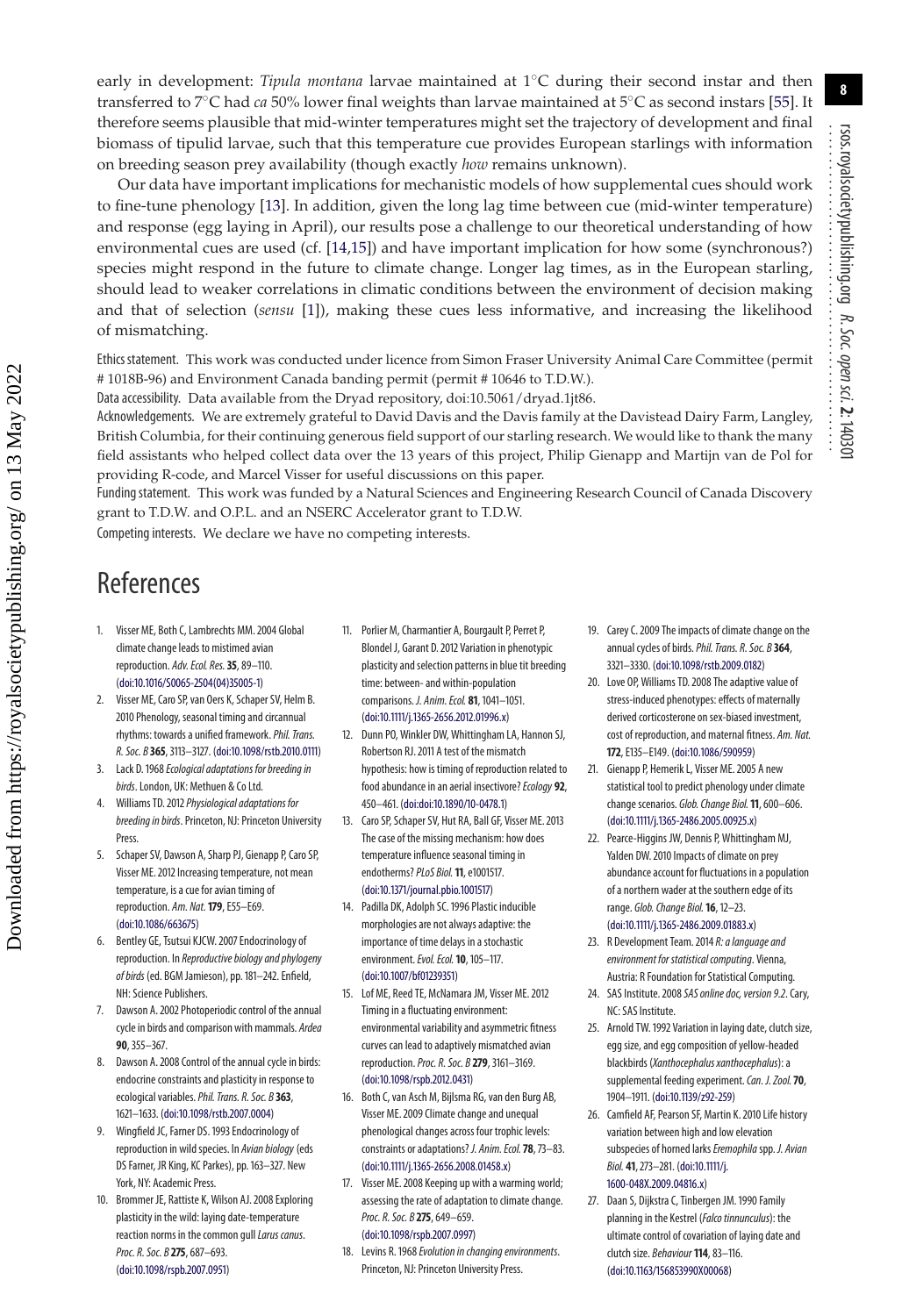early in development: *Tipula montana* larvae maintained at 1◦C during their second instar and then transferred to 7◦C had *ca* 50% lower final weights than larvae maintained at 5◦C as second instars [\[55\]](#page-10-27). It therefore seems plausible that mid-winter temperatures might set the trajectory of development and final biomass of tipulid larvae, such that this temperature cue provides European starlings with information on breeding season prey availability (though exactly *how* remains unknown).

Our data have important implications for mechanistic models of how supplemental cues should work to fine-tune phenology [\[13\]](#page-9-10). In addition, given the long lag time between cue (mid-winter temperature) and response (egg laying in April), our results pose a challenge to our theoretical understanding of how environmental cues are used (cf. [\[14,](#page-9-11)[15\]](#page-9-12)) and have important implication for how some (synchronous?) species might respond in the future to climate change. Longer lag times, as in the European starling, should lead to weaker correlations in climatic conditions between the environment of decision making and that of selection (*sensu* [\[1\]](#page-9-0)), making these cues less informative, and increasing the likelihood of mismatching.

Ethicsstatement. This work was conducted under licence from Simon Fraser University Animal Care Committee (permit # 1018B-96) and Environment Canada banding permit (permit # 10646 to T.D.W.).

Data accessibility. Data available from the Dryad repository, doi:10.5061/dryad.1jt86.

Acknowledgements. We are extremely grateful to David Davis and the Davis family at the Davistead Dairy Farm, Langley, British Columbia, for their continuing generous field support of our starling research. We would like to thank the many field assistants who helped collect data over the 13 years of this project, Philip Gienapp and Martijn van de Pol for providing R-code, and Marcel Visser for useful discussions on this paper.

Fundingstatement. This work was funded by a Natural Sciences and Engineering Research Council of Canada Discovery grant to T.D.W. and O.P.L. and an NSERC Accelerator grant to T.D.W.

Competing interests. We declare we have no competing interests.

## References

- <span id="page-9-0"></span>1. Visser ME, Both C, Lambrechts MM. 2004 Global climate change leads to mistimed avian reproduction. Adv. Ecol. Res.**35**, 89–110. [\(doi:10.1016/S0065-2504\(04\)35005-1\)](http://dx.doi.org/doi:10.1016/S0065-2504(04)35005-1)
- <span id="page-9-1"></span>2. Visser ME, Caro SP, van Oers K, Schaper SV, Helm B. 2010 Phenology, seasonal timing and circannual rhythms: towards a unified framework.Phil. Trans. R. Soc. B **365**, 3113–3127. [\(doi:10.1098/rstb.2010.0111\)](http://dx.doi.org/doi:10.1098/rstb.2010.0111)
- <span id="page-9-2"></span>3. Lack D. 1968 Ecological adaptations for breeding in birds. London, UK: Methuen & Co Ltd.
- <span id="page-9-3"></span>4. Williams TD. 2012 Physiological adaptations for breeding in birds. Princeton, NJ: Princeton University Press.
- <span id="page-9-4"></span>5. Schaper SV, Dawson A, Sharp PJ, Gienapp P, Caro SP, Visser ME. 2012 Increasing temperature, not mean temperature, is a cue for avian timing of reproduction. Am. Nat.**179**, E55–E69. [\(doi:10.1086/663675\)](http://dx.doi.org/doi:10.1086/663675)
- <span id="page-9-5"></span>6. Bentley GE, Tsutsui KJCW. 2007 Endocrinology of reproduction. In Reproductive biology and phylogeny of birds (ed. BGM Jamieson), pp. 181–242. Enfield, NH: Science Publishers.
- 7. Dawson A. 2002 Photoperiodic control of the annual cycle in birds and comparison with mammals. Ardea **90**, 355–367.
- <span id="page-9-9"></span>8. Dawson A. 2008 Control of the annual cycle in birds: endocrine constraints and plasticity in response to ecological variables.Phil. Trans. R. Soc. B **363**, 1621–1633. [\(doi:10.1098/rstb.2007.0004\)](http://dx.doi.org/doi:10.1098/rstb.2007.0004)
- <span id="page-9-6"></span>9. Wingfield JC, Farner DS. 1993 Endocrinology of reproduction in wild species. In Avian biology (eds DS Farner, JR King, KC Parkes), pp. 163–327. New York, NY: Academic Press.
- <span id="page-9-7"></span>10. Brommer JE, Rattiste K, Wilson AJ. 2008 Exploring plasticity in the wild: laying date-temperature reaction norms in the common gull Larus canus. Proc. R. Soc. B **275**, 687–693. [\(doi:10.1098/rspb.2007.0951\)](http://dx.doi.org/doi:10.1098/rspb.2007.0951)
- <span id="page-9-23"></span>11. Porlier M, Charmantier A, Bourgault P, Perret P, Blondel J, Garant D. 2012 Variation in phenotypic plasticity and selection patterns in blue tit breeding time: between- and within-population comparisons. J. Anim. Ecol. **81**, 1041–1051. [\(doi:10.1111/j.1365-2656.2012.01996.x\)](http://dx.doi.org/doi:10.1111/j.1365-2656.2012.01996.x)
- <span id="page-9-8"></span>12. Dunn PO, Winkler DW, Whittingham LA, Hannon SJ, Robertson RJ. 2011 A test of the mismatch hypothesis: how is timing of reproduction related to food abundance in an aerial insectivore? Ecology 92, 450–461. [\(doi:doi:10.1890/10-0478.1\)](http://dx.doi.org/doi:doi:10.1890/10-0478.1)
- <span id="page-9-10"></span>13. Caro SP, Schaper SV, Hut RA, Ball GF, Visser ME. 2013 The case of the missing mechanism: how does temperature influence seasonal timing in endotherms?PLoS Biol.**11**, e1001517. [\(doi:10.1371/journal.pbio.1001517\)](http://dx.doi.org/doi:10.1371/journal.pbio.1001517)
- <span id="page-9-11"></span>14. Padilla DK, Adolph SC. 1996 Plastic inducible morphologies are not always adaptive: the importance of time delays in a stochastic environment.Evol. Ecol.**10**, 105–117. [\(doi:10.1007/bf01239351\)](http://dx.doi.org/doi:10.1007/bf01239351)
- <span id="page-9-12"></span>15. Lof ME, Reed TE, McNamara JM, Visser ME. 2012 Timing in a fluctuating environment: environmental variability and asymmetric fitness curves can lead to adaptively mismatched avian reproduction.Proc. R. Soc. B **279**, 3161–3169. [\(doi:10.1098/rspb.2012.0431\)](http://dx.doi.org/doi:10.1098/rspb.2012.0431)
- <span id="page-9-13"></span>16. Both C, van Asch M, Bijlsma RG, van den Burg AB, Visser ME. 2009 Climate change and unequal phenological changes across four trophic levels: constraints or adaptations? J. Anim. Ecol.**78**, 73–83. [\(doi:10.1111/j.1365-2656.2008.01458.x\)](http://dx.doi.org/doi:10.1111/j.1365-2656.2008.01458.x)
- <span id="page-9-14"></span>17. Visser ME. 2008 Keeping up with a warming world; assessing the rate of adaptation to climate change. Proc. R. Soc. B **275**, 649–659. [\(doi:10.1098/rspb.2007.0997\)](http://dx.doi.org/doi:10.1098/rspb.2007.0997)
- <span id="page-9-15"></span>18. Levins R. 1968 Evolution in changing environments. Princeton, NJ: Princeton University Press.
- <span id="page-9-16"></span>19. Carey C. 2009 The impacts of climate change on the annual cycles of birds.Phil. Trans. R. Soc. B **364**, 3321–3330. [\(doi:10.1098/rstb.2009.0182\)](http://dx.doi.org/doi:10.1098/rstb.2009.0182)
- <span id="page-9-17"></span>20. Love OP, Williams TD. 2008 The adaptive value of stress-induced phenotypes: effects of maternally derived corticosterone on sex-biased investment, cost of reproduction, and maternal fitness. Am. Nat. **172**, E135–E149. [\(doi:10.1086/590959\)](http://dx.doi.org/doi:10.1086/590959)
- <span id="page-9-18"></span>21. Gienapp P, Hemerik L, Visser ME. 2005 A new statistical tool to predict phenology under climate change scenarios. Glob. Change Biol.**11**, 600–606. [\(doi:10.1111/j.1365-2486.2005.00925.x\)](http://dx.doi.org/doi:10.1111/j.1365-2486.2005.00925.x)
- <span id="page-9-19"></span>22. Pearce-Higgins JW, Dennis P, Whittingham MJ, Yalden DW. 2010 Impacts of climate on prey abundance account for fluctuations in a population of a northern wader at the southern edge of its range. Glob. Change Biol.**16**, 12–23. [\(doi:10.1111/j.1365-2486.2009.01883.x\)](http://dx.doi.org/doi:10.1111/j.1365-2486.2009.01883.x)
- <span id="page-9-20"></span>23. R Development Team. 2014 R: a language and environment for statistical computing. Vienna, Austria: R Foundation for Statistical Computing.
- <span id="page-9-21"></span>24. SAS Institute. 2008 SAS online doc, version 9.2. Cary, NC: SAS Institute.
- <span id="page-9-22"></span>25. Arnold TW. 1992 Variation in laying date, clutch size, egg size, and egg composition of yellow-headed blackbirds (Xanthocephalus xanthocephalus): a supplemental feeding experiment. Can. J. Zool. 70, 1904–1911. [\(doi:10.1139/z92-259\)](http://dx.doi.org/doi:10.1139/z92-259)
- 26. Camfield AF, Pearson SF, Martin K. 2010 Life history variation between high and low elevation subspecies of horned larks Eremophila spp. J. Avian Biol. **41**, 273–281. [\(doi:10.1111/j.](http://dx.doi.org/doi:10.1111/j.1600-048X.2009.04816.x) [1600-048X.2009.04816.x\)](http://dx.doi.org/doi:10.1111/j.1600-048X.2009.04816.x)
- 27. Daan S, Dijkstra C, Tinbergen JM. 1990 Family planning in the Kestrel (Falco tinnunculus): the ultimate control of covariation of laying date and clutch size. Behaviour **114**, 83–116. [\(doi:10.1163/156853990X00068\)](http://dx.doi.org/doi:10.1163/156853990X00068)